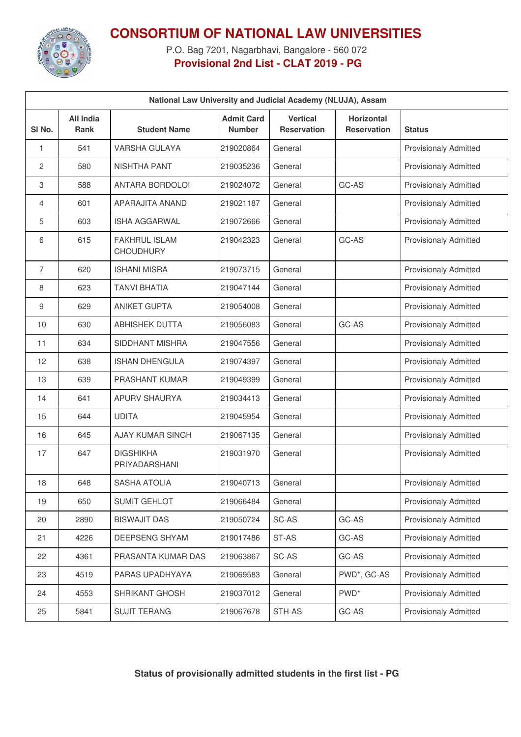

## **CONSORTIUM OF NATIONAL LAW UNIVERSITIES**

P.O. Bag 7201, Nagarbhavi, Bangalore - 560 072 **Provisional 2nd List - CLAT 2019 - PG**

| National Law University and Judicial Academy (NLUJA), Assam |                                 |                                          |                                    |                                       |                                  |                              |  |  |  |  |
|-------------------------------------------------------------|---------------------------------|------------------------------------------|------------------------------------|---------------------------------------|----------------------------------|------------------------------|--|--|--|--|
| SI No.                                                      | <b>All India</b><br><b>Rank</b> | <b>Student Name</b>                      | <b>Admit Card</b><br><b>Number</b> | <b>Vertical</b><br><b>Reservation</b> | <b>Horizontal</b><br>Reservation | <b>Status</b>                |  |  |  |  |
| 1                                                           | 541                             | <b>VARSHA GULAYA</b>                     | 219020864                          | General                               |                                  | <b>Provisionaly Admitted</b> |  |  |  |  |
| 2                                                           | 580                             | <b>NISHTHA PANT</b>                      | 219035236                          | General                               |                                  | <b>Provisionaly Admitted</b> |  |  |  |  |
| 3                                                           | 588                             | ANTARA BORDOLOI                          | 219024072                          | General                               | GC-AS                            | <b>Provisionaly Admitted</b> |  |  |  |  |
| $\overline{4}$                                              | 601                             | APARAJITA ANAND                          | 219021187                          | General                               |                                  | <b>Provisionaly Admitted</b> |  |  |  |  |
| 5                                                           | 603                             | <b>ISHA AGGARWAL</b>                     | 219072666                          | General                               |                                  | <b>Provisionaly Admitted</b> |  |  |  |  |
| 6                                                           | 615                             | <b>FAKHRUL ISLAM</b><br><b>CHOUDHURY</b> | 219042323                          | General                               | GC-AS                            | <b>Provisionaly Admitted</b> |  |  |  |  |
| 7                                                           | 620                             | <b>ISHANI MISRA</b>                      | 219073715                          | General                               |                                  | <b>Provisionaly Admitted</b> |  |  |  |  |
| 8                                                           | 623                             | <b>TANVI BHATIA</b>                      | 219047144                          | General                               |                                  | <b>Provisionaly Admitted</b> |  |  |  |  |
| 9                                                           | 629                             | <b>ANIKET GUPTA</b>                      | 219054008                          | General                               |                                  | <b>Provisionaly Admitted</b> |  |  |  |  |
| 10                                                          | 630                             | <b>ABHISHEK DUTTA</b>                    | 219056083                          | General                               | GC-AS                            | <b>Provisionaly Admitted</b> |  |  |  |  |
| 11                                                          | 634                             | <b>SIDDHANT MISHRA</b>                   | 219047556                          | General                               |                                  | <b>Provisionaly Admitted</b> |  |  |  |  |
| 12                                                          | 638                             | <b>ISHAN DHENGULA</b>                    | 219074397                          | General                               |                                  | <b>Provisionaly Admitted</b> |  |  |  |  |
| 13                                                          | 639                             | PRASHANT KUMAR                           | 219049399                          | General                               |                                  | <b>Provisionaly Admitted</b> |  |  |  |  |
| 14                                                          | 641                             | <b>APURV SHAURYA</b>                     | 219034413                          | General                               |                                  | <b>Provisionaly Admitted</b> |  |  |  |  |
| 15                                                          | 644                             | <b>UDITA</b>                             | 219045954                          | General                               |                                  | <b>Provisionaly Admitted</b> |  |  |  |  |
| 16                                                          | 645                             | <b>AJAY KUMAR SINGH</b>                  | 219067135                          | General                               |                                  | <b>Provisionaly Admitted</b> |  |  |  |  |
| 17                                                          | 647                             | <b>DIGSHIKHA</b><br>PRIYADARSHANI        | 219031970                          | General                               |                                  | <b>Provisionaly Admitted</b> |  |  |  |  |
| 18                                                          | 648                             | SASHA ATOLIA                             | 219040713                          | General                               |                                  | <b>Provisionaly Admitted</b> |  |  |  |  |
| 19                                                          | 650                             | <b>SUMIT GEHLOT</b>                      | 219066484                          | General                               |                                  | <b>Provisionaly Admitted</b> |  |  |  |  |
| 20                                                          | 2890                            | <b>BISWAJIT DAS</b>                      | 219050724                          | SC-AS                                 | GC-AS                            | <b>Provisionaly Admitted</b> |  |  |  |  |
| 21                                                          | 4226                            | DEEPSENG SHYAM                           | 219017486                          | ST-AS                                 | GC-AS                            | <b>Provisionaly Admitted</b> |  |  |  |  |
| 22                                                          | 4361                            | PRASANTA KUMAR DAS                       | 219063867                          | SC-AS                                 | GC-AS                            | <b>Provisionaly Admitted</b> |  |  |  |  |
| 23                                                          | 4519                            | PARAS UPADHYAYA                          | 219069583                          | General                               | PWD*, GC-AS                      | <b>Provisionaly Admitted</b> |  |  |  |  |
| 24                                                          | 4553                            | SHRIKANT GHOSH                           | 219037012                          | General                               | PWD <sup>*</sup>                 | <b>Provisionaly Admitted</b> |  |  |  |  |
| 25                                                          | 5841                            | <b>SUJIT TERANG</b>                      | 219067678                          | STH-AS                                | GC-AS                            | Provisionaly Admitted        |  |  |  |  |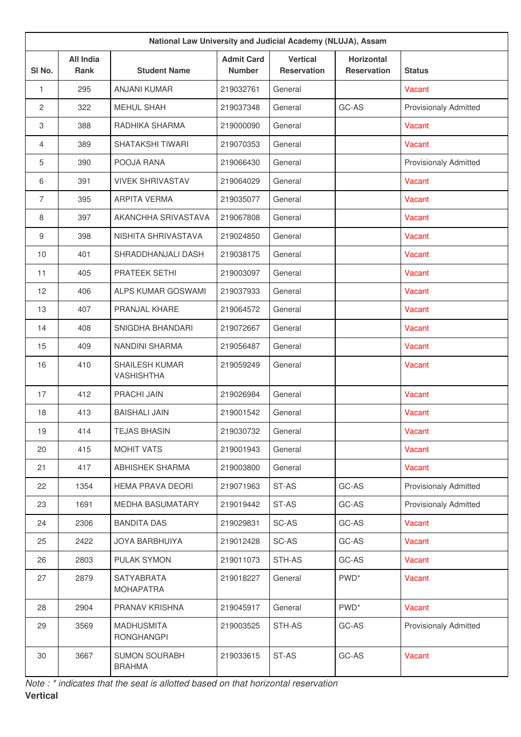| National Law University and Judicial Academy (NLUJA), Assam |                                 |                                        |                                    |                                       |                                         |                              |  |  |  |
|-------------------------------------------------------------|---------------------------------|----------------------------------------|------------------------------------|---------------------------------------|-----------------------------------------|------------------------------|--|--|--|
| SI No.                                                      | <b>All India</b><br><b>Rank</b> | <b>Student Name</b>                    | <b>Admit Card</b><br><b>Number</b> | <b>Vertical</b><br><b>Reservation</b> | <b>Horizontal</b><br><b>Reservation</b> | <b>Status</b>                |  |  |  |
| $\mathbf{1}$                                                | 295                             | <b>ANJANI KUMAR</b>                    | 219032761                          | General                               |                                         | Vacant                       |  |  |  |
| $\mathbf{2}$                                                | 322                             | <b>MEHUL SHAH</b>                      | 219037348                          | General                               | GC-AS                                   | <b>Provisionaly Admitted</b> |  |  |  |
| 3                                                           | 388                             | RADHIKA SHARMA                         | 219000090                          | General                               |                                         | Vacant                       |  |  |  |
| 4                                                           | 389                             | <b>SHATAKSHI TIWARI</b>                | 219070353                          | General                               |                                         | Vacant                       |  |  |  |
| 5                                                           | 390                             | POOJA RANA                             | 219066430                          | General                               |                                         | <b>Provisionaly Admitted</b> |  |  |  |
| 6                                                           | 391                             | <b>VIVEK SHRIVASTAV</b>                | 219064029                          | General                               |                                         | Vacant                       |  |  |  |
| $\overline{7}$                                              | 395                             | <b>ARPITA VERMA</b>                    | 219035077                          | General                               |                                         | Vacant                       |  |  |  |
| 8                                                           | 397                             | AKANCHHA SRIVASTAVA                    | 219067808                          | General                               |                                         | Vacant                       |  |  |  |
| 9                                                           | 398                             | NISHITA SHRIVASTAVA                    | 219024850                          | General                               |                                         | Vacant                       |  |  |  |
| 10                                                          | 401                             | SHRADDHANJALI DASH                     | 219038175                          | General                               |                                         | Vacant                       |  |  |  |
| 11                                                          | 405                             | PRATEEK SETHI                          | 219003097                          | General                               |                                         | Vacant                       |  |  |  |
| 12                                                          | 406                             | ALPS KUMAR GOSWAMI                     | 219037933                          | General                               |                                         | Vacant                       |  |  |  |
| 13                                                          | 407                             | PRANJAL KHARE                          | 219064572                          | General                               |                                         | Vacant                       |  |  |  |
| 14                                                          | 408                             | SNIGDHA BHANDARI                       | 219072667                          | General                               |                                         | Vacant                       |  |  |  |
| 15                                                          | 409                             | NANDINI SHARMA                         | 219056487                          | General                               |                                         | Vacant                       |  |  |  |
| 16                                                          | 410                             | SHAILESH KUMAR<br><b>VASHISHTHA</b>    | 219059249                          | General                               |                                         | Vacant                       |  |  |  |
| 17                                                          | 412                             | PRACHI JAIN                            | 219026984                          | General                               |                                         | Vacant                       |  |  |  |
| 18                                                          | 413                             | <b>BAISHALI JAIN</b>                   | 219001542                          | General                               |                                         | Vacant                       |  |  |  |
| 19                                                          | 414                             | <b>TEJAS BHASIN</b>                    | 219030732                          | General                               |                                         | Vacant                       |  |  |  |
| 20                                                          | 415                             | <b>MOHIT VATS</b>                      | 219001943                          | General                               |                                         | Vacant                       |  |  |  |
| 21                                                          | 417                             | <b>ABHISHEK SHARMA</b>                 | 219003800                          | General                               |                                         | Vacant                       |  |  |  |
| 22                                                          | 1354                            | <b>HEMA PRAVA DEORI</b>                | 219071963                          | ST-AS                                 | GC-AS                                   | <b>Provisionaly Admitted</b> |  |  |  |
| 23                                                          | 1691                            | MEDHA BASUMATARY                       | 219019442                          | ST-AS                                 | GC-AS                                   | <b>Provisionaly Admitted</b> |  |  |  |
| 24                                                          | 2306                            | <b>BANDITA DAS</b>                     | 219029831                          | SC-AS                                 | GC-AS                                   | Vacant                       |  |  |  |
| 25                                                          | 2422                            | JOYA BARBHUIYA                         | 219012428                          | SC-AS                                 | GC-AS                                   | Vacant                       |  |  |  |
| 26                                                          | 2803                            | PULAK SYMON                            | 219011073                          | STH-AS                                | GC-AS                                   | Vacant                       |  |  |  |
| 27                                                          | 2879                            | SATYABRATA<br><b>MOHAPATRA</b>         | 219018227                          | General                               | PWD <sup>*</sup>                        | Vacant                       |  |  |  |
| 28                                                          | 2904                            | PRANAV KRISHNA                         | 219045917                          | General                               | PWD <sup>*</sup>                        | Vacant                       |  |  |  |
| 29                                                          | 3569                            | <b>MADHUSMITA</b><br><b>RONGHANGPI</b> | 219003525                          | STH-AS                                | GC-AS                                   | <b>Provisionaly Admitted</b> |  |  |  |
| 30                                                          | 3667                            | <b>SUMON SOURABH</b><br><b>BRAHMA</b>  | 219033615                          | ST-AS                                 | GC-AS                                   | Vacant                       |  |  |  |

*Note : \* indicates that the seat is allotted based on that horizontal reservation* **Vertical**